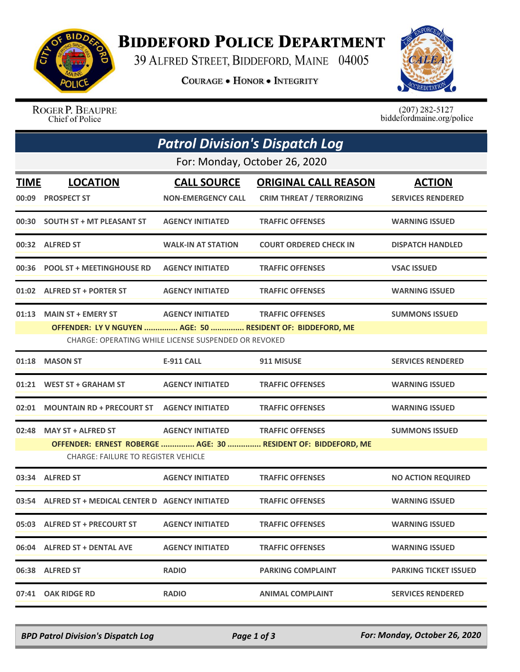

## **BIDDEFORD POLICE DEPARTMENT**

39 ALFRED STREET, BIDDEFORD, MAINE 04005

**COURAGE . HONOR . INTEGRITY** 



ROGER P. BEAUPRE Chief of Police

 $(207)$  282-5127 biddefordmaine.org/police

|             | <b>Patrol Division's Dispatch Log</b>                                                  |                                                                                 |                                                                 |                                           |  |  |  |  |
|-------------|----------------------------------------------------------------------------------------|---------------------------------------------------------------------------------|-----------------------------------------------------------------|-------------------------------------------|--|--|--|--|
|             | For: Monday, October 26, 2020                                                          |                                                                                 |                                                                 |                                           |  |  |  |  |
| <b>TIME</b> | <b>LOCATION</b><br>00:09 PROSPECT ST                                                   | <b>CALL SOURCE</b><br><b>NON-EMERGENCY CALL</b>                                 | <b>ORIGINAL CALL REASON</b><br><b>CRIM THREAT / TERRORIZING</b> | <b>ACTION</b><br><b>SERVICES RENDERED</b> |  |  |  |  |
|             | 00:30 SOUTH ST + MT PLEASANT ST                                                        | <b>AGENCY INITIATED</b>                                                         | <b>TRAFFIC OFFENSES</b>                                         | <b>WARNING ISSUED</b>                     |  |  |  |  |
|             | 00:32 ALFRED ST                                                                        | <b>WALK-IN AT STATION</b>                                                       | <b>COURT ORDERED CHECK IN</b>                                   | <b>DISPATCH HANDLED</b>                   |  |  |  |  |
|             | 00:36 POOL ST + MEETINGHOUSE RD                                                        | <b>AGENCY INITIATED</b>                                                         | <b>TRAFFIC OFFENSES</b>                                         | <b>VSAC ISSUED</b>                        |  |  |  |  |
|             | 01:02 ALFRED ST + PORTER ST                                                            | <b>AGENCY INITIATED</b>                                                         | <b>TRAFFIC OFFENSES</b>                                         | <b>WARNING ISSUED</b>                     |  |  |  |  |
|             | 01:13 MAIN ST + EMERY ST<br>OFFENDER: LY V NGUYEN  AGE: 50  RESIDENT OF: BIDDEFORD, ME | <b>AGENCY INITIATED</b><br>CHARGE: OPERATING WHILE LICENSE SUSPENDED OR REVOKED | <b>TRAFFIC OFFENSES</b>                                         | <b>SUMMONS ISSUED</b>                     |  |  |  |  |
| 01:18       | <b>MASON ST</b>                                                                        | <b>E-911 CALL</b>                                                               | 911 MISUSE                                                      | <b>SERVICES RENDERED</b>                  |  |  |  |  |
|             | 01:21 WEST ST + GRAHAM ST                                                              | <b>AGENCY INITIATED</b>                                                         | <b>TRAFFIC OFFENSES</b>                                         | <b>WARNING ISSUED</b>                     |  |  |  |  |
|             | 02:01 MOUNTAIN RD + PRECOURT ST AGENCY INITIATED                                       |                                                                                 | <b>TRAFFIC OFFENSES</b>                                         | <b>WARNING ISSUED</b>                     |  |  |  |  |
| 02:48       | <b>MAY ST + ALFRED ST</b><br><b>CHARGE: FAILURE TO REGISTER VEHICLE</b>                | AGENCY INITIATED TRAFFIC OFFENSES                                               | OFFENDER: ERNEST ROBERGE  AGE: 30  RESIDENT OF: BIDDEFORD, ME   | <b>SUMMONS ISSUED</b>                     |  |  |  |  |
|             | 03:34 ALFRED ST                                                                        | <b>AGENCY INITIATED</b>                                                         | <b>TRAFFIC OFFENSES</b>                                         | <b>NO ACTION REQUIRED</b>                 |  |  |  |  |
|             | 03:54 ALFRED ST + MEDICAL CENTER D AGENCY INITIATED                                    |                                                                                 | <b>TRAFFIC OFFENSES</b>                                         | <b>WARNING ISSUED</b>                     |  |  |  |  |
|             | 05:03 ALFRED ST + PRECOURT ST                                                          | <b>AGENCY INITIATED</b>                                                         | <b>TRAFFIC OFFENSES</b>                                         | <b>WARNING ISSUED</b>                     |  |  |  |  |
|             | 06:04 ALFRED ST + DENTAL AVE                                                           | <b>AGENCY INITIATED</b>                                                         | <b>TRAFFIC OFFENSES</b>                                         | <b>WARNING ISSUED</b>                     |  |  |  |  |
|             | 06:38 ALFRED ST                                                                        | <b>RADIO</b>                                                                    | <b>PARKING COMPLAINT</b>                                        | <b>PARKING TICKET ISSUED</b>              |  |  |  |  |
|             | 07:41 OAK RIDGE RD                                                                     | <b>RADIO</b>                                                                    | <b>ANIMAL COMPLAINT</b>                                         | <b>SERVICES RENDERED</b>                  |  |  |  |  |

*BPD Patrol Division's Dispatch Log Page 1 of 3 For: Monday, October 26, 2020*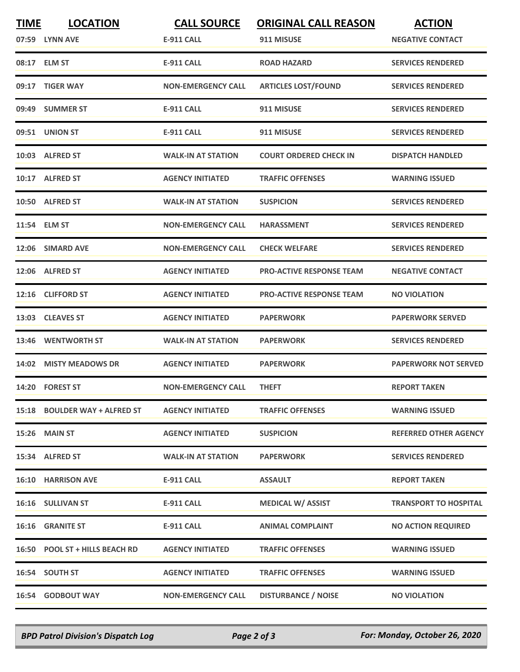| <b>TIME</b> | <b>LOCATION</b><br>07:59 LYNN AVE | <b>CALL SOURCE</b><br><b>E-911 CALL</b> | <b>ORIGINAL CALL REASON</b><br>911 MISUSE | <b>ACTION</b><br><b>NEGATIVE CONTACT</b> |
|-------------|-----------------------------------|-----------------------------------------|-------------------------------------------|------------------------------------------|
|             | 08:17 ELM ST                      | <b>E-911 CALL</b>                       | <b>ROAD HAZARD</b>                        | <b>SERVICES RENDERED</b>                 |
|             | 09:17 TIGER WAY                   | <b>NON-EMERGENCY CALL</b>               | <b>ARTICLES LOST/FOUND</b>                | <b>SERVICES RENDERED</b>                 |
|             | 09:49 SUMMER ST                   | <b>E-911 CALL</b>                       | 911 MISUSE                                | <b>SERVICES RENDERED</b>                 |
|             | 09:51 UNION ST                    | <b>E-911 CALL</b>                       | 911 MISUSE                                | <b>SERVICES RENDERED</b>                 |
|             | 10:03 ALFRED ST                   | <b>WALK-IN AT STATION</b>               | <b>COURT ORDERED CHECK IN</b>             | <b>DISPATCH HANDLED</b>                  |
|             | 10:17 ALFRED ST                   | <b>AGENCY INITIATED</b>                 | <b>TRAFFIC OFFENSES</b>                   | <b>WARNING ISSUED</b>                    |
|             | 10:50 ALFRED ST                   | <b>WALK-IN AT STATION</b>               | <b>SUSPICION</b>                          | <b>SERVICES RENDERED</b>                 |
|             | 11:54 ELM ST                      | <b>NON-EMERGENCY CALL</b>               | <b>HARASSMENT</b>                         | <b>SERVICES RENDERED</b>                 |
|             | 12:06 SIMARD AVE                  | <b>NON-EMERGENCY CALL</b>               | <b>CHECK WELFARE</b>                      | <b>SERVICES RENDERED</b>                 |
|             | 12:06 ALFRED ST                   | <b>AGENCY INITIATED</b>                 | <b>PRO-ACTIVE RESPONSE TEAM</b>           | <b>NEGATIVE CONTACT</b>                  |
|             | 12:16 CLIFFORD ST                 | <b>AGENCY INITIATED</b>                 | <b>PRO-ACTIVE RESPONSE TEAM</b>           | <b>NO VIOLATION</b>                      |
|             | 13:03 CLEAVES ST                  | <b>AGENCY INITIATED</b>                 | <b>PAPERWORK</b>                          | <b>PAPERWORK SERVED</b>                  |
|             | 13:46 WENTWORTH ST                | <b>WALK-IN AT STATION</b>               | <b>PAPERWORK</b>                          | <b>SERVICES RENDERED</b>                 |
|             | 14:02 MISTY MEADOWS DR            | <b>AGENCY INITIATED</b>                 | <b>PAPERWORK</b>                          | <b>PAPERWORK NOT SERVED</b>              |
|             | 14:20 FOREST ST                   | <b>NON-EMERGENCY CALL</b>               | <b>THEFT</b>                              | <b>REPORT TAKEN</b>                      |
|             | 15:18 BOULDER WAY + ALFRED ST     | <b>AGENCY INITIATED</b>                 | <b>TRAFFIC OFFENSES</b>                   | <b>WARNING ISSUED</b>                    |
|             | 15:26 MAIN ST                     | <b>AGENCY INITIATED</b>                 | <b>SUSPICION</b>                          | <b>REFERRED OTHER AGENCY</b>             |
|             | 15:34 ALFRED ST                   | <b>WALK-IN AT STATION</b>               | <b>PAPERWORK</b>                          | <b>SERVICES RENDERED</b>                 |
|             | <b>16:10 HARRISON AVE</b>         | <b>E-911 CALL</b>                       | <b>ASSAULT</b>                            | <b>REPORT TAKEN</b>                      |
|             | 16:16 SULLIVAN ST                 | <b>E-911 CALL</b>                       | <b>MEDICAL W/ ASSIST</b>                  | <b>TRANSPORT TO HOSPITAL</b>             |
|             | 16:16 GRANITE ST                  | E-911 CALL                              | <b>ANIMAL COMPLAINT</b>                   | <b>NO ACTION REQUIRED</b>                |
|             | 16:50 POOL ST + HILLS BEACH RD    | <b>AGENCY INITIATED</b>                 | <b>TRAFFIC OFFENSES</b>                   | <b>WARNING ISSUED</b>                    |
|             | 16:54 SOUTH ST                    | <b>AGENCY INITIATED</b>                 | <b>TRAFFIC OFFENSES</b>                   | <b>WARNING ISSUED</b>                    |
|             | <b>16:54 GODBOUT WAY</b>          | <b>NON-EMERGENCY CALL</b>               | <b>DISTURBANCE / NOISE</b>                | <b>NO VIOLATION</b>                      |

*BPD Patrol Division's Dispatch Log Page 2 of 3 For: Monday, October 26, 2020*